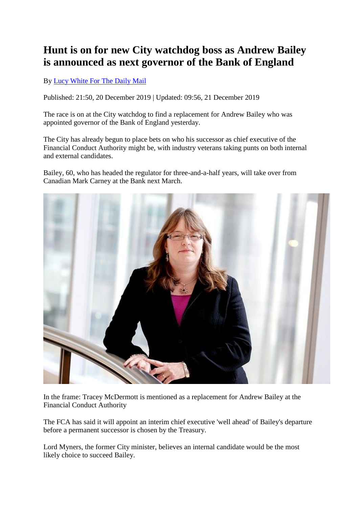## **Hunt is on for new City watchdog boss as Andrew Bailey is announced as next governor of the Bank of England**

By [Lucy White For The Daily Mail](https://www.thisismoney.co.uk/home/search.html?s=&authornamef=Lucy+White+For+The+Daily+Mail)

Published: 21:50, 20 December 2019 | Updated: 09:56, 21 December 2019

The race is on at the City watchdog to find a replacement for Andrew Bailey who was appointed governor of the Bank of England yesterday.

The City has already begun to place bets on who his successor as chief executive of the Financial Conduct Authority might be, with industry veterans taking punts on both internal and external candidates.

Bailey, 60, who has headed the regulator for three-and-a-half years, will take over from Canadian Mark Carney at the Bank next March.



In the frame: Tracey McDermott is mentioned as a replacement for Andrew Bailey at the Financial Conduct Authority

The FCA has said it will appoint an interim chief executive 'well ahead' of Bailey's departure before a permanent successor is chosen by the Treasury.

Lord Myners, the former City minister, believes an internal candidate would be the most likely choice to succeed Bailey.